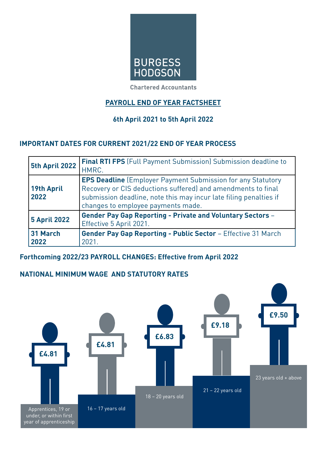

**Chartered Accountants** 

# **PAYROLL END OF YEAR FACTSHEET**

# **6th April 2021 to 5th April 2022**

# **IMPORTANT DATES FOR CURRENT 2021/22 END OF YEAR PROCESS**

| 5th April 2022            | <b>Final RTI FPS</b> (Full Payment Submission) Submission deadline to<br>HMRC.                                                                                                                                                                |  |  |
|---------------------------|-----------------------------------------------------------------------------------------------------------------------------------------------------------------------------------------------------------------------------------------------|--|--|
| <b>19th April</b><br>2022 | <b>EPS Deadline</b> (Employer Payment Submission for any Statutory<br>Recovery or CIS deductions suffered) and amendments to final<br>submission deadline, note this may incur late filing penalties if<br>changes to employee payments made. |  |  |
| <b>5 April 2022</b>       | <b>Gender Pay Gap Reporting - Private and Voluntary Sectors -</b><br>Effective 5 April 2021.                                                                                                                                                  |  |  |
| 31 March<br>2022          | Gender Pay Gap Reporting - Public Sector - Effective 31 March<br>2021.                                                                                                                                                                        |  |  |

# **Forthcoming 2022/23 PAYROLL CHANGES: Effective from April 2022**

# **NATIONAL MINIMUM WAGE AND STATUTORY RATES**

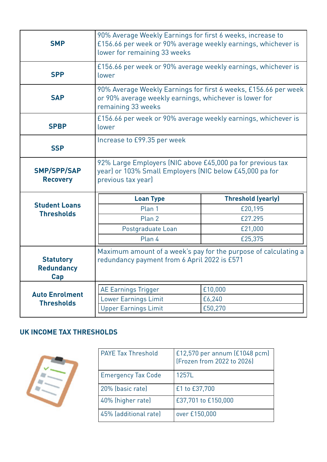| <b>SMP</b>                                   | 90% Average Weekly Earnings for first 6 weeks, increase to<br>£156.66 per week or 90% average weekly earnings, whichever is<br>lower for remaining 33 weeks |                                                                 |  |
|----------------------------------------------|-------------------------------------------------------------------------------------------------------------------------------------------------------------|-----------------------------------------------------------------|--|
| <b>SPP</b>                                   | £156.66 per week or 90% average weekly earnings, whichever is<br>lower                                                                                      |                                                                 |  |
| <b>SAP</b>                                   | 90% Average Weekly Earnings for first 6 weeks, £156.66 per week<br>or 90% average weekly earnings, whichever is lower for<br>remaining 33 weeks             |                                                                 |  |
| <b>SPBP</b>                                  | £156.66 per week or 90% average weekly earnings, whichever is<br>lower                                                                                      |                                                                 |  |
| <b>SSP</b>                                   | Increase to £99.35 per week                                                                                                                                 |                                                                 |  |
|                                              | 92% Large Employers (NIC above £45,000 pa for previous tax<br>year) or 103% Small Employers (NIC below £45,000 pa for<br>previous tax year)                 |                                                                 |  |
| <b>SMP/SPP/SAP</b><br><b>Recovery</b>        |                                                                                                                                                             |                                                                 |  |
|                                              | <b>Loan Type</b>                                                                                                                                            | <b>Threshold (yearly)</b>                                       |  |
| <b>Student Loans</b>                         | Plan 1                                                                                                                                                      | £20,195                                                         |  |
| <b>Thresholds</b>                            | Plan 2                                                                                                                                                      | £27.295                                                         |  |
|                                              | Postgraduate Loan                                                                                                                                           | £21,000                                                         |  |
|                                              | Plan 4                                                                                                                                                      | £25,375                                                         |  |
| <b>Statutory</b><br><b>Redundancy</b><br>Cap | redundancy payment from 6 April 2022 is £571                                                                                                                | Maximum amount of a week's pay for the purpose of calculating a |  |
|                                              |                                                                                                                                                             | £10,000                                                         |  |
| <b>Auto Enrolment</b><br><b>Thresholds</b>   | <b>AE Earnings Trigger</b><br><b>Lower Earnings Limit</b>                                                                                                   | £6,240                                                          |  |

# **UK INCOME TAX THRESHOLDS**



| <b>PAYE Tax Threshold</b> | £12,570 per annum (£1048 pcm)<br>(Frozen from 2022 to 2026) |
|---------------------------|-------------------------------------------------------------|
| <b>Emergency Tax Code</b> | 1257L                                                       |
| 20% (basic rate)          | £1 to £37,700                                               |
| 40% (higher rate)         | £37,701 to £150,000                                         |
| 45% (additional rate)     | over £150,000                                               |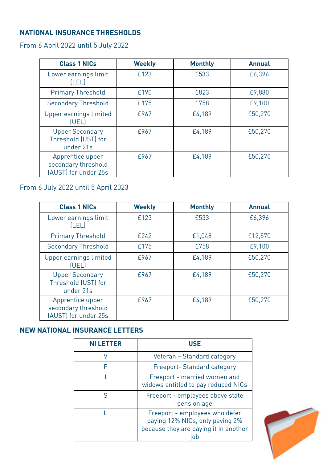# **NATIONAL INSURANCE THRESHOLDS**

From 6 April 2022 until 5 July 2022

| <b>Class 1 NICs</b>                                             | <b>Weekly</b> | <b>Monthly</b> | <b>Annual</b> |
|-----------------------------------------------------------------|---------------|----------------|---------------|
| Lower earnings limit<br>[LEL]                                   | £123          | £533           | £6,396        |
| <b>Primary Threshold</b>                                        | £190          | £823           | £9,880        |
| <b>Secondary Threshold</b>                                      | £175          | £758           | £9,100        |
| Upper earnings limited<br>[UEL]                                 | £967          | £4,189         | £50,270       |
| <b>Upper Secondary</b><br>Threshold (UST) for<br>under 21s      | £967          | £4,189         | £50,270       |
| Apprentice upper<br>secondary threshold<br>(AUST) for under 25s | £967          | £4,189         | £50,270       |

# From 6 July 2022 until 5 April 2023

| <b>Class 1 NICs</b>                                             | <b>Weekly</b> | <b>Monthly</b> | <b>Annual</b> |
|-----------------------------------------------------------------|---------------|----------------|---------------|
| Lower earnings limit<br>[LEL]                                   | £123          | £533           | £6,396        |
| <b>Primary Threshold</b>                                        | £242          | £1,048         | £12,570       |
| <b>Secondary Threshold</b>                                      | £175          | £758           | £9,100        |
| Upper earnings limited<br>(UEL)                                 | £967          | £4,189         | £50,270       |
| <b>Upper Secondary</b><br>Threshold (UST) for<br>under 21s      | £967          | £4,189         | £50,270       |
| Apprentice upper<br>secondary threshold<br>(AUST) for under 25s | £967          | £4,189         | £50,270       |

# **NEW NATIONAL INSURANCE LETTERS**

| <b>NI LETTER</b> | <b>USE</b>                                                                                                        |
|------------------|-------------------------------------------------------------------------------------------------------------------|
|                  | Veteran - Standard category                                                                                       |
| F                | Freeport- Standard category                                                                                       |
|                  | Freeport - married women and<br>widows entitled to pay reduced NICs                                               |
| ς                | Freeport - employees above state<br>pension age                                                                   |
|                  | Freeport - employees who defer<br>paying 12% NICs, only paying 2%<br>because they are paying it in another<br>iob |

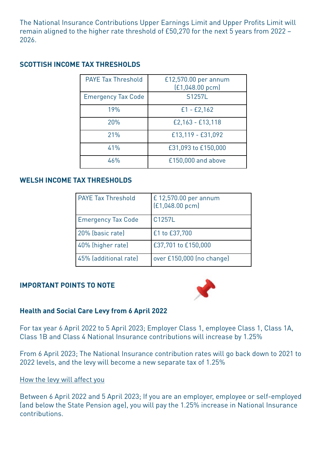The National Insurance Contributions Upper Earnings Limit and Upper Profits Limit will remain aligned to the higher rate threshold of £50,270 for the next 5 years from 2022 – 2026.

## **SCOTTISH INCOME TAX THRESHOLDS**

| <b>PAYE Tax Threshold</b> | £12,570.00 per annum<br>[£1,048.00 pcm] |
|---------------------------|-----------------------------------------|
| <b>Emergency Tax Code</b> | S1257L                                  |
| 19%                       | $£1 - £2,162$                           |
| 20%                       | £2,163 - £13,118                        |
| 21%                       | £13,119 - £31,092                       |
| 41%                       | £31,093 to £150,000                     |
| 46%                       | £150,000 and above                      |

#### **WELSH INCOME TAX THRESHOLDS**

| <b>PAYE Tax Threshold</b> | £12,570.00 per annum<br>$[£1,048.00$ pcm $]$ |
|---------------------------|----------------------------------------------|
| <b>Emergency Tax Code</b> | C1257L                                       |
| 20% (basic rate)          | £1 to £37,700                                |
| 40% (higher rate)         | £37,701 to £150,000                          |
| 45% (additional rate)     | over £150,000 (no change)                    |

#### **IMPORTANT POINTS TO NOTE**



#### **Health and Social Care Levy from 6 April 2022**

For tax year 6 April 2022 to 5 April 2023; Employer Class 1, employee Class 1, Class 1A, Class 1B and Class 4 National Insurance contributions will increase by 1.25%

From 6 April 2023; The National Insurance contribution rates will go back down to 2021 to 2022 levels, and the levy will become a new separate tax of 1.25%

How the levy will affect you

Between 6 April 2022 and 5 April 2023; If you are an employer, employee or self-employed (and below the State Pension age), you will pay the 1.25% increase in National Insurance contributions.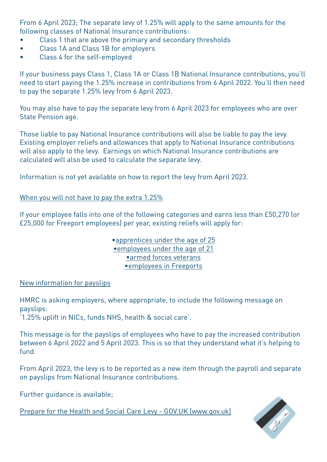From 6 April 2023; The separate levy of 1.25% will apply to the same amounts for the following classes of National Insurance contributions:

- Class 1 that are above the primary and secondary thresholds
- Class 1A and Class 1B for employers
- Class 4 for the self-employed

If your business pays Class 1, Class 1A or Class 1B National Insurance contributions, you'll need to start paying the 1.25% increase in contributions from 6 April 2022. You'll then need to pay the separate 1.25% levy from 6 April 2023.

You may also have to pay the separate levy from 6 April 2023 for employees who are over State Pension age.

Those liable to pay National Insurance contributions will also be liable to pay the levy. Existing employer reliefs and allowances that apply to National Insurance contributions will also apply to the levy. Earnings on which National Insurance contributions are calculated will also be used to calculate the separate levy.

Information is not yet available on how to report the levy from April 2023.

When you will not have to pay the extra 1.25%

If your employee falls into one of the following categories and earns less than £50,270 (or £25,000 for Freeport employees) per year, existing reliefs will apply for:

> [•apprentices under the age of 25](https://www.gov.uk/government/publications/national-insurance-contributions-for-under-25s-employer-guide) [•employees under the age of 21](https://www.gov.uk/government/publications/employer-national-insurance-contributions-for-under-21s) [•armed forces veterans](https://www.gov.uk/government/publications/national-insurance-contributions-relief-for-employers-who-hire-veterans) [•employees in Freeports](https://www.gov.uk/government/publications/zero-rate-of-secondary-national-insurance-contributions-for-freeport-employees)

New information for payslips

HMRC is asking employers, where appropriate, to include the following message on payslips:

'1.25% uplift in NICs, funds NHS, health & social care'.

This message is for the payslips of employees who have to pay the increased contribution between 6 April 2022 and 5 April 2023. This is so that they understand what it's helping to fund.

From April 2023, the levy is to be reported as a new item through the payroll and separate on payslips from National Insurance contributions.

Further guidance is available;

[Prepare for the Health and Social Care Levy - GOV.UK \(www.gov.uk\)](https://www.gov.uk/guidance/prepare-for-the-health-and-social-care-levy)

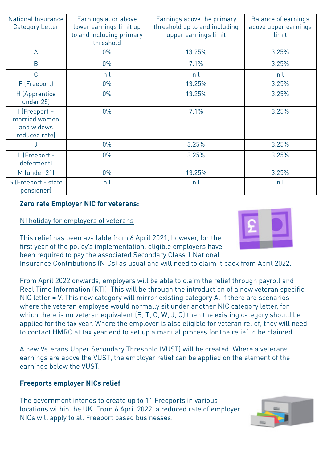| <b>National Insurance</b><br><b>Category Letter</b>           | Earnings at or above<br>lower earnings limit up<br>to and including primary<br>threshold | Earnings above the primary<br>threshold up to and including<br>upper earnings limit | <b>Balance of earnings</b><br>above upper earnings<br>limit |
|---------------------------------------------------------------|------------------------------------------------------------------------------------------|-------------------------------------------------------------------------------------|-------------------------------------------------------------|
| $\overline{A}$                                                | $0\%$                                                                                    | 13.25%                                                                              | 3.25%                                                       |
| B                                                             | $0\%$                                                                                    | 7.1%                                                                                | 3.25%                                                       |
| C                                                             | nil                                                                                      | nil                                                                                 | nil                                                         |
| F (Freeport)                                                  | $0\%$                                                                                    | 13.25%                                                                              | 3.25%                                                       |
| H (Apprentice<br>under 25)                                    | $0\%$                                                                                    | 13.25%                                                                              | 3.25%                                                       |
| I (Freeport -<br>married women<br>and widows<br>reduced rate) | $0\%$                                                                                    | 7.1%                                                                                | 3.25%                                                       |
|                                                               | $0\%$                                                                                    | 3.25%                                                                               | 3.25%                                                       |
| L (Freeport -<br>deferment)                                   | $0\%$                                                                                    | 3.25%                                                                               | 3.25%                                                       |
| M (under 21)                                                  | $0\%$                                                                                    | 13.25%                                                                              | 3.25%                                                       |
| S (Freeport - state<br>pensioner)                             | nil                                                                                      | nil                                                                                 | nil                                                         |

#### **Zero rate Employer NIC for veterans:**

#### NI holiday for employers of veterans

This relief has been available from 6 April 2021, however, for the first year of the policy's implementation, eligible employers have been required to pay the associated Secondary Class 1 National



From April 2022 onwards, employers will be able to claim the relief through payroll and Real Time Information (RTI). This will be through the introduction of a new veteran specific NIC letter = V. This new category will mirror existing category A. If there are scenarios where the veteran employee would normally sit under another NIC category letter, for which there is no veteran equivalent (B, T, C, W, J, Q) then the existing category should be applied for the tax year. Where the employer is also eligible for veteran relief, they will need to contact HMRC at tax year end to set up a manual process for the relief to be claimed.

A new Veterans Upper Secondary Threshold (VUST) will be created. Where a veterans' earnings are above the VUST, the employer relief can be applied on the element of the earnings below the VUST.

## **Freeports employer NICs relief**

The government intends to create up to 11 Freeports in various locations within the UK. From 6 April 2022, a reduced rate of employer NICs will apply to all Freeport based businesses.



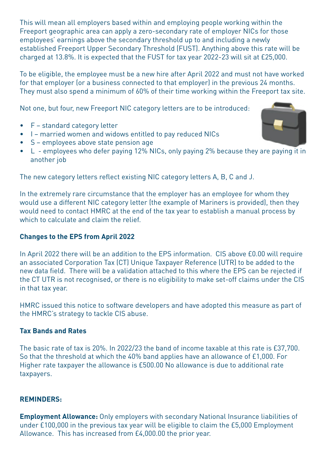This will mean all employers based within and employing people working within the Freeport geographic area can apply a zero-secondary rate of employer NICs for those employees' earnings above the secondary threshold up to and including a newly established Freeport Upper Secondary Threshold (FUST). Anything above this rate will be charged at 13.8%. It is expected that the FUST for tax year 2022-23 will sit at £25,000.

To be eligible, the employee must be a new hire after April 2022 and must not have worked for that employer (or a business connected to that employer) in the previous 24 months. They must also spend a minimum of 60% of their time working within the Freeport tax site.

Not one, but four, new Freeport NIC category letters are to be introduced:

- F standard category letter
- I married women and widows entitled to pay reduced NICs
- S employees above state pension age
- L employees who defer paying 12% NICs, only paying 2% because they are paying it in another job

The new category letters reflect existing NIC category letters A, B, C and J.

In the extremely rare circumstance that the employer has an employee for whom they would use a different NIC category letter (the example of Mariners is provided), then they would need to contact HMRC at the end of the tax year to establish a manual process by which to calculate and claim the relief.

## **Changes to the EPS from April 2022**

In April 2022 there will be an addition to the EPS information. CIS above £0.00 will require an associated Corporation Tax (CT) Unique Taxpayer Reference (UTR) to be added to the new data field. There will be a validation attached to this where the EPS can be rejected if the CT UTR is not recognised, or there is no eligibility to make set-off claims under the CIS in that tax year.

HMRC issued this notice to software developers and have adopted this measure as part of the HMRC's strategy to tackle CIS abuse.

## **Tax Bands and Rates**

The basic rate of tax is 20%. In 2022/23 the band of income taxable at this rate is £37,700. So that the threshold at which the 40% band applies have an allowance of £1,000. For Higher rate taxpayer the allowance is £500.00 No allowance is due to additional rate taxpayers.

## **REMINDERS:**

**Employment Allowance:** Only employers with secondary National Insurance liabilities of under £100,000 in the previous tax year will be eligible to claim the £5,000 Employment Allowance. This has increased from £4,000.00 the prior year.

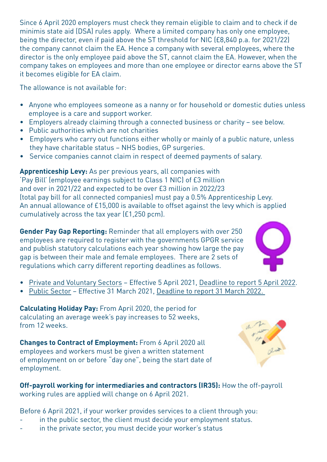Since 6 April 2020 employers must check they remain eligible to claim and to check if de minimis state aid (DSA) rules apply. Where a limited company has only one employee, being the director, even if paid above the ST threshold for NIC (£8,840 p.a. for 2021/22) the company cannot claim the EA. Hence a company with several employees, where the director is the only employee paid above the ST, cannot claim the EA. However, when the company takes on employees and more than one employee or director earns above the ST it becomes eligible for EA claim.

The allowance is not available for:

- Anyone who employees someone as a nanny or for household or domestic duties unless employee is a care and support worker.
- Employers already claiming through a connected business or charity see below.
- Public authorities which are not charities
- Employers who carry out functions either wholly or mainly of a public nature, unless they have charitable status – NHS bodies, GP surgeries.
- Service companies cannot claim in respect of deemed payments of salary.

**Apprenticeship Levy:** As per previous years, all companies with 'Pay Bill' (employee earnings subject to Class 1 NIC) of £3 million and over in 2021/22 and expected to be over £3 million in 2022/23 (total pay bill for all connected companies) must pay a 0.5% Apprenticeship Levy. An annual allowance of £15,000 is available to offset against the levy which is applied cumulatively across the tax year (£1,250 pcm).

**Gender Pay Gap Reporting:** Reminder that all employers with over 250 employees are required to register with the governments GPGR service and publish statutory calculations each year showing how large the pay gap is between their male and female employees. There are 2 sets of regulations which carry different reporting deadlines as follows.

- Private and Voluntary Sectors Effective 5 April 2021, Deadline to report 5 April 2022.
- Public Sector Effective 31 March 2021, Deadline to report 31 March 2022.

**Calculating Holiday Pay:** From April 2020, the period for calculating an average week's pay increases to 52 weeks, from 12 weeks.

**Changes to Contract of Employment:** From 6 April 2020 all employees and workers must be given a written statement of employment on or before "day one", being the start date of employment.

**Off-payroll working for intermediaries and contractors (IR35):** How the off-payroll working rules are applied will change on 6 April 2021.

Before 6 April 2021, if your worker provides services to a client through you:

- in the public sector, the client must decide your employment status.
- in the private sector, you must decide your worker's status